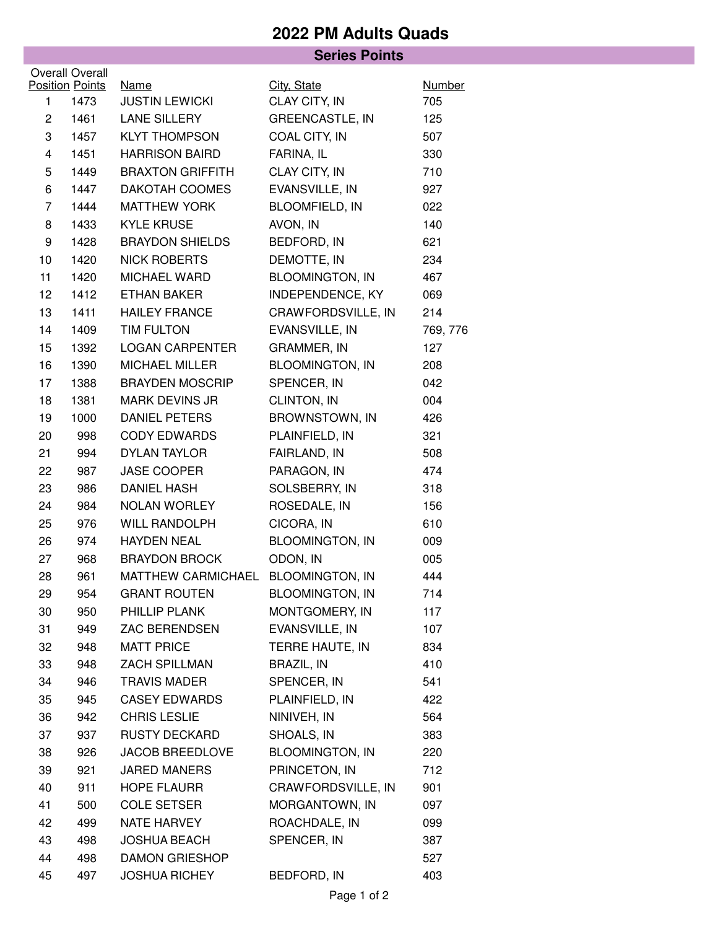## **2022 PM Adults Quads**

|                        |                        | <b>Series Points</b>               |                        |               |  |  |  |
|------------------------|------------------------|------------------------------------|------------------------|---------------|--|--|--|
| <b>Overall Overall</b> |                        |                                    |                        |               |  |  |  |
|                        | <b>Position Points</b> | <b>Name</b>                        | City, State            | <b>Number</b> |  |  |  |
| 1                      | 1473                   | <b>JUSTIN LEWICKI</b>              | CLAY CITY, IN          | 705           |  |  |  |
| 2                      | 1461                   | LANE SILLERY                       | <b>GREENCASTLE, IN</b> | 125           |  |  |  |
| 3                      | 1457                   | <b>KLYT THOMPSON</b>               | COAL CITY, IN          | 507           |  |  |  |
| 4                      | 1451                   | <b>HARRISON BAIRD</b>              | FARINA, IL             | 330           |  |  |  |
| 5                      | 1449                   | <b>BRAXTON GRIFFITH</b>            | CLAY CITY, IN          | 710           |  |  |  |
| 6                      | 1447                   | DAKOTAH COOMES                     | EVANSVILLE, IN         | 927           |  |  |  |
| 7                      | 1444                   | <b>MATTHEW YORK</b>                | <b>BLOOMFIELD, IN</b>  | 022           |  |  |  |
| 8                      | 1433                   | <b>KYLE KRUSE</b>                  | AVON, IN               | 140           |  |  |  |
| 9                      | 1428                   | <b>BRAYDON SHIELDS</b>             | BEDFORD, IN            | 621           |  |  |  |
| 10                     | 1420                   | <b>NICK ROBERTS</b>                | DEMOTTE, IN            | 234           |  |  |  |
| 11                     | 1420                   | MICHAEL WARD                       | <b>BLOOMINGTON, IN</b> | 467           |  |  |  |
| 12                     | 1412                   | <b>ETHAN BAKER</b>                 | INDEPENDENCE, KY       | 069           |  |  |  |
| 13                     | 1411                   | <b>HAILEY FRANCE</b>               | CRAWFORDSVILLE, IN     | 214           |  |  |  |
| 14                     | 1409                   | TIM FULTON                         | EVANSVILLE, IN         | 769, 776      |  |  |  |
| 15                     | 1392                   | <b>LOGAN CARPENTER</b>             | <b>GRAMMER, IN</b>     | 127           |  |  |  |
| 16                     | 1390                   | <b>MICHAEL MILLER</b>              | <b>BLOOMINGTON, IN</b> | 208           |  |  |  |
| 17                     | 1388                   | <b>BRAYDEN MOSCRIP</b>             | SPENCER, IN            | 042           |  |  |  |
| 18                     | 1381                   | <b>MARK DEVINS JR</b>              | CLINTON, IN            | 004           |  |  |  |
| 19                     | 1000                   | <b>DANIEL PETERS</b>               | <b>BROWNSTOWN, IN</b>  | 426           |  |  |  |
| 20                     | 998                    | <b>CODY EDWARDS</b>                | PLAINFIELD, IN         | 321           |  |  |  |
| 21                     | 994                    | <b>DYLAN TAYLOR</b>                | FAIRLAND, IN           | 508           |  |  |  |
| 22                     | 987                    | JASE COOPER                        | PARAGON, IN            | 474           |  |  |  |
| 23                     | 986                    | <b>DANIEL HASH</b>                 | SOLSBERRY, IN          | 318           |  |  |  |
| 24                     | 984                    | NOLAN WORLEY                       | ROSEDALE, IN           | 156           |  |  |  |
| 25                     | 976                    | WILL RANDOLPH                      | CICORA, IN             | 610           |  |  |  |
| 26                     | 974                    | <b>HAYDEN NEAL</b>                 | <b>BLOOMINGTON, IN</b> | 009           |  |  |  |
| 27                     | 968                    | <b>BRAYDON BROCK</b>               | ODON, IN               | 005           |  |  |  |
| 28                     | 961                    | MATTHEW CARMICHAEL BLOOMINGTON, IN |                        | 444           |  |  |  |
| 29                     | 954                    | <b>GRANT ROUTEN</b>                | <b>BLOOMINGTON, IN</b> | 714           |  |  |  |
| 30                     | 950                    | PHILLIP PLANK                      | MONTGOMERY, IN         | 117           |  |  |  |
| 31                     | 949                    | <b>ZAC BERENDSEN</b>               | EVANSVILLE, IN         | 107           |  |  |  |
| 32                     | 948                    | <b>MATT PRICE</b>                  | TERRE HAUTE, IN        | 834           |  |  |  |
| 33                     | 948                    | ZACH SPILLMAN                      | <b>BRAZIL, IN</b>      | 410           |  |  |  |
| 34                     | 946                    | <b>TRAVIS MADER</b>                | SPENCER, IN            | 541           |  |  |  |
| 35                     | 945                    | <b>CASEY EDWARDS</b>               | PLAINFIELD, IN         | 422           |  |  |  |
| 36                     | 942                    | <b>CHRIS LESLIE</b>                | NINIVEH, IN            | 564           |  |  |  |
| 37                     | 937                    | <b>RUSTY DECKARD</b>               | SHOALS, IN             | 383           |  |  |  |
| 38                     | 926                    | <b>JACOB BREEDLOVE</b>             | <b>BLOOMINGTON, IN</b> | 220           |  |  |  |
| 39                     | 921                    | <b>JARED MANERS</b>                | PRINCETON, IN          | 712           |  |  |  |
| 40                     | 911                    | <b>HOPE FLAURR</b>                 | CRAWFORDSVILLE, IN     | 901           |  |  |  |
| 41                     | 500                    | <b>COLE SETSER</b>                 | MORGANTOWN, IN         | 097           |  |  |  |
| 42                     | 499                    | NATE HARVEY                        | ROACHDALE, IN          | 099           |  |  |  |
| 43                     | 498                    | <b>JOSHUA BEACH</b>                | SPENCER, IN            | 387           |  |  |  |
| 44                     | 498                    | <b>DAMON GRIESHOP</b>              |                        | 527           |  |  |  |
| 45                     | 497                    | <b>JOSHUA RICHEY</b>               | BEDFORD, IN            | 403           |  |  |  |